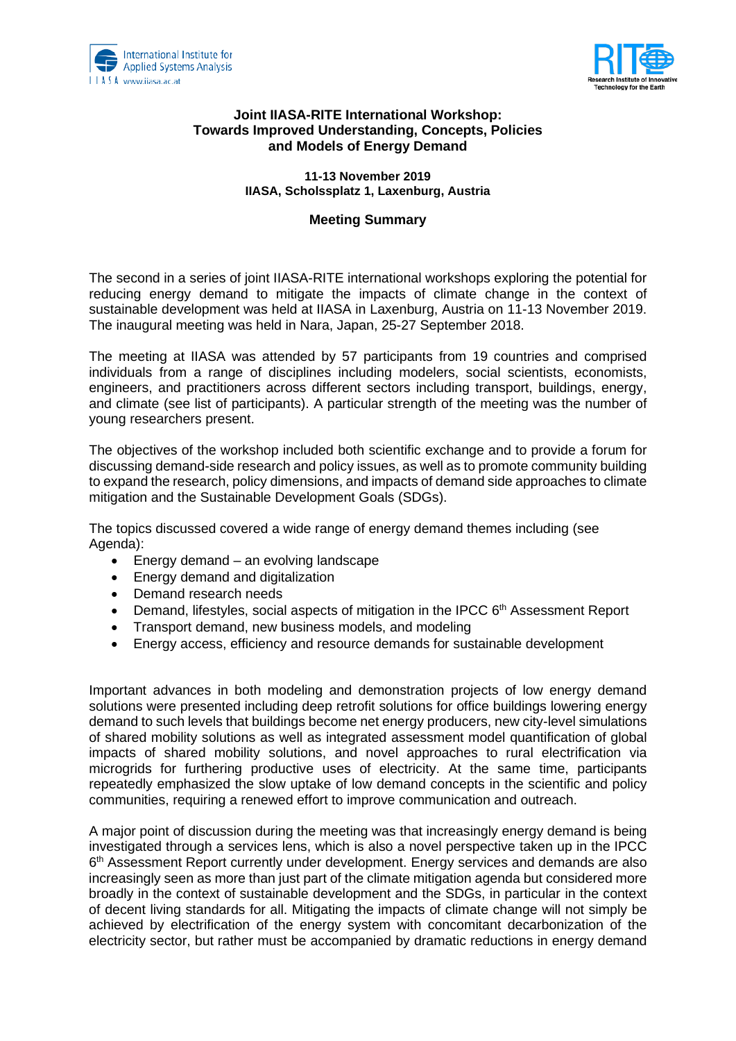



## **Joint IIASA-RITE International Workshop: Towards Improved Understanding, Concepts, Policies and Models of Energy Demand**

**11-13 November 2019 IIASA, Scholssplatz 1, Laxenburg, Austria**

## **Meeting Summary**

The second in a series of joint IIASA-RITE international workshops exploring the potential for reducing energy demand to mitigate the impacts of climate change in the context of sustainable development was held at IIASA in Laxenburg, Austria on 11-13 November 2019. The inaugural meeting was held in Nara, Japan, 25-27 September 2018.

The meeting at IIASA was attended by 57 participants from 19 countries and comprised individuals from a range of disciplines including modelers, social scientists, economists, engineers, and practitioners across different sectors including transport, buildings, energy, and climate (see list of participants). A particular strength of the meeting was the number of young researchers present.

The objectives of the workshop included both scientific exchange and to provide a forum for discussing demand-side research and policy issues, as well as to promote community building to expand the research, policy dimensions, and impacts of demand side approaches to climate mitigation and the Sustainable Development Goals (SDGs).

The topics discussed covered a wide range of energy demand themes including (see Agenda):

- Energy demand an evolving landscape
- Energy demand and digitalization
- Demand research needs
- Demand, lifestyles, social aspects of mitigation in the IPCC 6<sup>th</sup> Assessment Report
- Transport demand, new business models, and modeling
- Energy access, efficiency and resource demands for sustainable development

Important advances in both modeling and demonstration projects of low energy demand solutions were presented including deep retrofit solutions for office buildings lowering energy demand to such levels that buildings become net energy producers, new city-level simulations of shared mobility solutions as well as integrated assessment model quantification of global impacts of shared mobility solutions, and novel approaches to rural electrification via microgrids for furthering productive uses of electricity. At the same time, participants repeatedly emphasized the slow uptake of low demand concepts in the scientific and policy communities, requiring a renewed effort to improve communication and outreach.

A major point of discussion during the meeting was that increasingly energy demand is being investigated through a services lens, which is also a novel perspective taken up in the IPCC 6<sup>th</sup> Assessment Report currently under development. Energy services and demands are also increasingly seen as more than just part of the climate mitigation agenda but considered more broadly in the context of sustainable development and the SDGs, in particular in the context of decent living standards for all. Mitigating the impacts of climate change will not simply be achieved by electrification of the energy system with concomitant decarbonization of the electricity sector, but rather must be accompanied by dramatic reductions in energy demand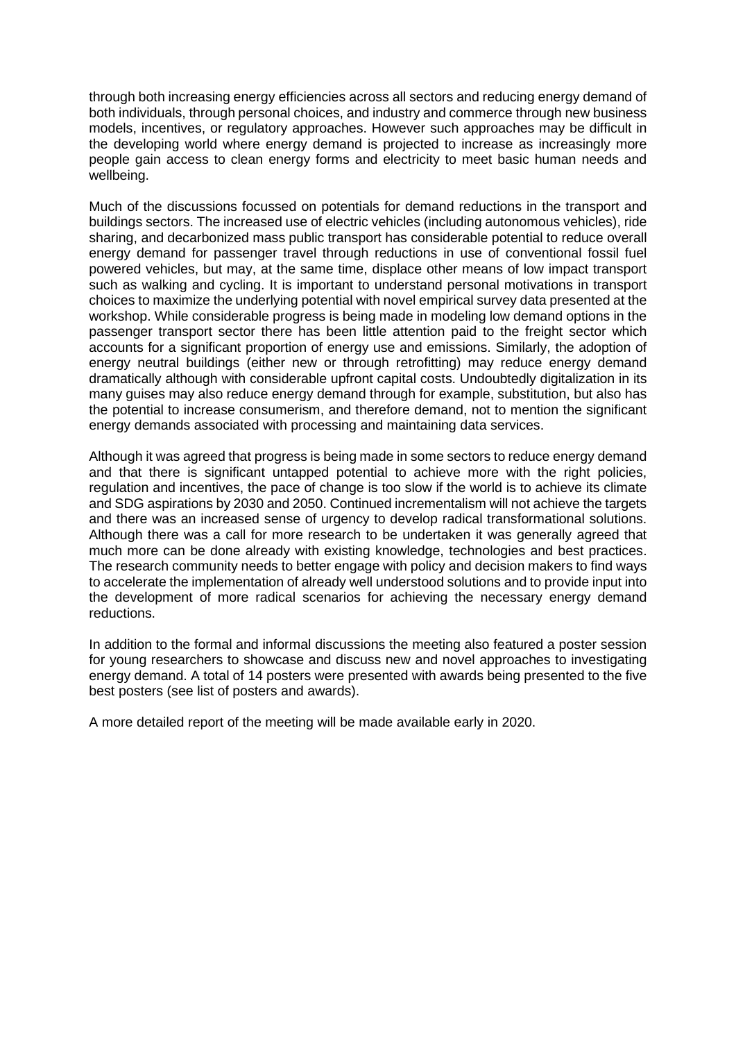through both increasing energy efficiencies across all sectors and reducing energy demand of both individuals, through personal choices, and industry and commerce through new business models, incentives, or regulatory approaches. However such approaches may be difficult in the developing world where energy demand is projected to increase as increasingly more people gain access to clean energy forms and electricity to meet basic human needs and wellbeing.

Much of the discussions focussed on potentials for demand reductions in the transport and buildings sectors. The increased use of electric vehicles (including autonomous vehicles), ride sharing, and decarbonized mass public transport has considerable potential to reduce overall energy demand for passenger travel through reductions in use of conventional fossil fuel powered vehicles, but may, at the same time, displace other means of low impact transport such as walking and cycling. It is important to understand personal motivations in transport choices to maximize the underlying potential with novel empirical survey data presented at the workshop. While considerable progress is being made in modeling low demand options in the passenger transport sector there has been little attention paid to the freight sector which accounts for a significant proportion of energy use and emissions. Similarly, the adoption of energy neutral buildings (either new or through retrofitting) may reduce energy demand dramatically although with considerable upfront capital costs. Undoubtedly digitalization in its many guises may also reduce energy demand through for example, substitution, but also has the potential to increase consumerism, and therefore demand, not to mention the significant energy demands associated with processing and maintaining data services.

Although it was agreed that progress is being made in some sectors to reduce energy demand and that there is significant untapped potential to achieve more with the right policies, regulation and incentives, the pace of change is too slow if the world is to achieve its climate and SDG aspirations by 2030 and 2050. Continued incrementalism will not achieve the targets and there was an increased sense of urgency to develop radical transformational solutions. Although there was a call for more research to be undertaken it was generally agreed that much more can be done already with existing knowledge, technologies and best practices. The research community needs to better engage with policy and decision makers to find ways to accelerate the implementation of already well understood solutions and to provide input into the development of more radical scenarios for achieving the necessary energy demand reductions.

In addition to the formal and informal discussions the meeting also featured a poster session for young researchers to showcase and discuss new and novel approaches to investigating energy demand. A total of 14 posters were presented with awards being presented to the five best posters (see list of posters and awards).

A more detailed report of the meeting will be made available early in 2020.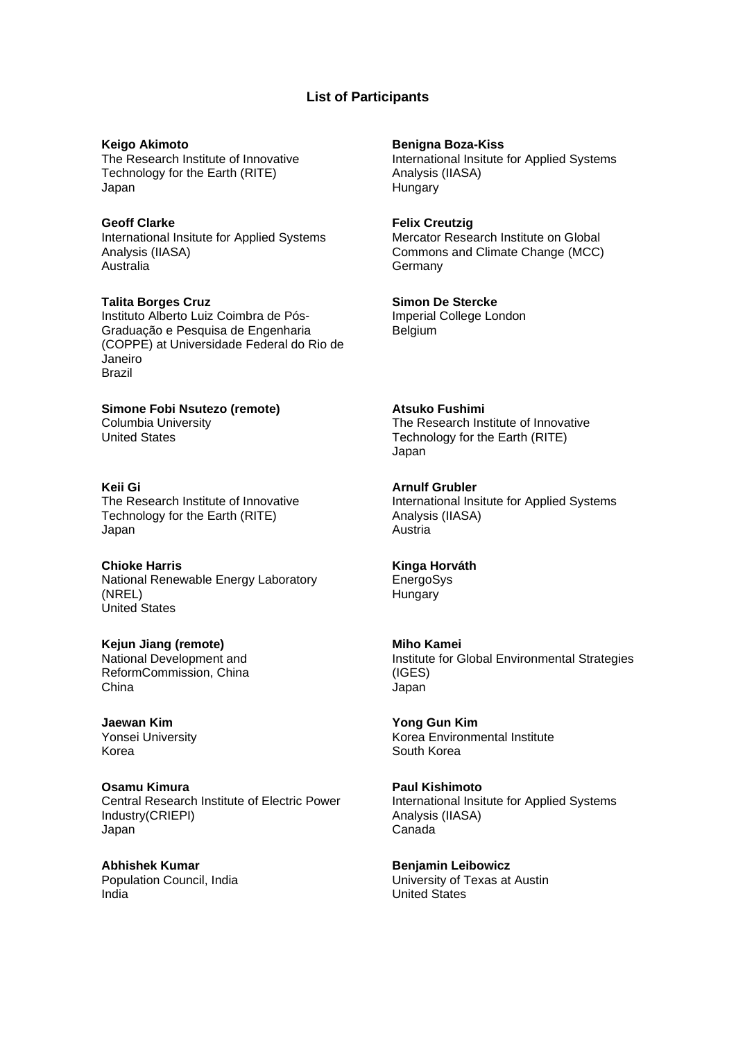### **List of Participants**

**Keigo Akimoto** The Research Institute of Innovative Technology for the Earth (RITE) Japan

**Geoff Clarke** International Insitute for Applied Systems Analysis (IIASA) Australia

**Talita Borges Cruz** Instituto Alberto Luiz Coimbra de Pós-Graduação e Pesquisa de Engenharia (COPPE) at Universidade Federal do Rio de Janeiro Brazil

**Keii Gi** The Research Institute of Innovative Technology for the Earth (RITE) Japan

**Simone Fobi Nsutezo (remote)**

Columbia University United States

**Chioke Harris** National Renewable Energy Laboratory (NREL) United States

**Kejun Jiang (remote)** National Development and ReformCommission, China China

**Jaewan Kim** Yonsei University Korea

**Osamu Kimura** Central Research Institute of Electric Power Industry(CRIEPI) Japan

**Abhishek Kumar** Population Council, India India

**Benigna Boza-Kiss**

International Insitute for Applied Systems Analysis (IIASA) **Hungary** 

**Felix Creutzig** Mercator Research Institute on Global Commons and Climate Change (MCC) **Germany** 

**Simon De Stercke** Imperial College London Belgium

**Atsuko Fushimi** The Research Institute of Innovative Technology for the Earth (RITE) Japan

**Arnulf Grubler** International Insitute for Applied Systems Analysis (IIASA) Austria

**Kinga Horváth EnergoSys Hungary** 

**Miho Kamei** Institute for Global Environmental Strategies (IGES) Japan

**Yong Gun Kim** Korea Environmental Institute South Korea

**Paul Kishimoto** International Insitute for Applied Systems Analysis (IIASA) Canada

**Benjamin Leibowicz** University of Texas at Austin United States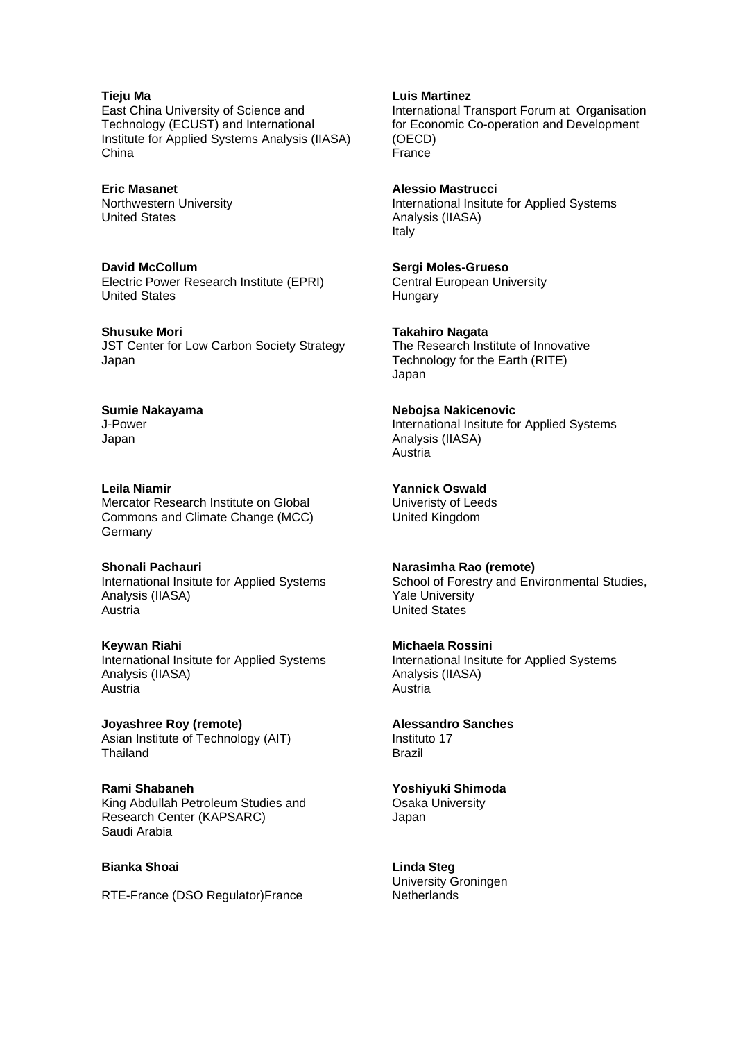### **Tieju Ma**

East China University of Science and Technology (ECUST) and International Institute for Applied Systems Analysis (IIASA) China

**Eric Masanet** Northwestern University United States

**David McCollum** Electric Power Research Institute (EPRI) United States

**Shusuke Mori** JST Center for Low Carbon Society Strategy Japan

**Sumie Nakayama** J-Power Japan

**Leila Niamir** Mercator Research Institute on Global Commons and Climate Change (MCC) **Germany** 

**Shonali Pachauri** International Insitute for Applied Systems Analysis (IIASA) Austria

**Keywan Riahi** International Insitute for Applied Systems Analysis (IIASA) Austria

**Joyashree Roy (remote)** Asian Institute of Technology (AIT) Thailand

**Rami Shabaneh** King Abdullah Petroleum Studies and Research Center (KAPSARC) Saudi Arabia

### **Bianka Shoai**

RTE-France (DSO Regulator)France

**Luis Martinez**

International Transport Forum at Organisation for Economic Co-operation and Development (OECD) France

**Alessio Mastrucci** International Insitute for Applied Systems Analysis (IIASA) Italy

**Sergi Moles-Grueso** Central European University **Hungary** 

**Takahiro Nagata** The Research Institute of Innovative Technology for the Earth (RITE) Japan

**Nebojsa Nakicenovic** International Insitute for Applied Systems Analysis (IIASA) Austria

**Yannick Oswald** Univeristy of Leeds United Kingdom

**Narasimha Rao (remote)** School of Forestry and Environmental Studies, Yale University United States

**Michaela Rossini** International Insitute for Applied Systems Analysis (IIASA) Austria

**Alessandro Sanches** Instituto 17

Brazil

**Yoshiyuki Shimoda**

Osaka University Japan

**Linda Steg** University Groningen **Netherlands**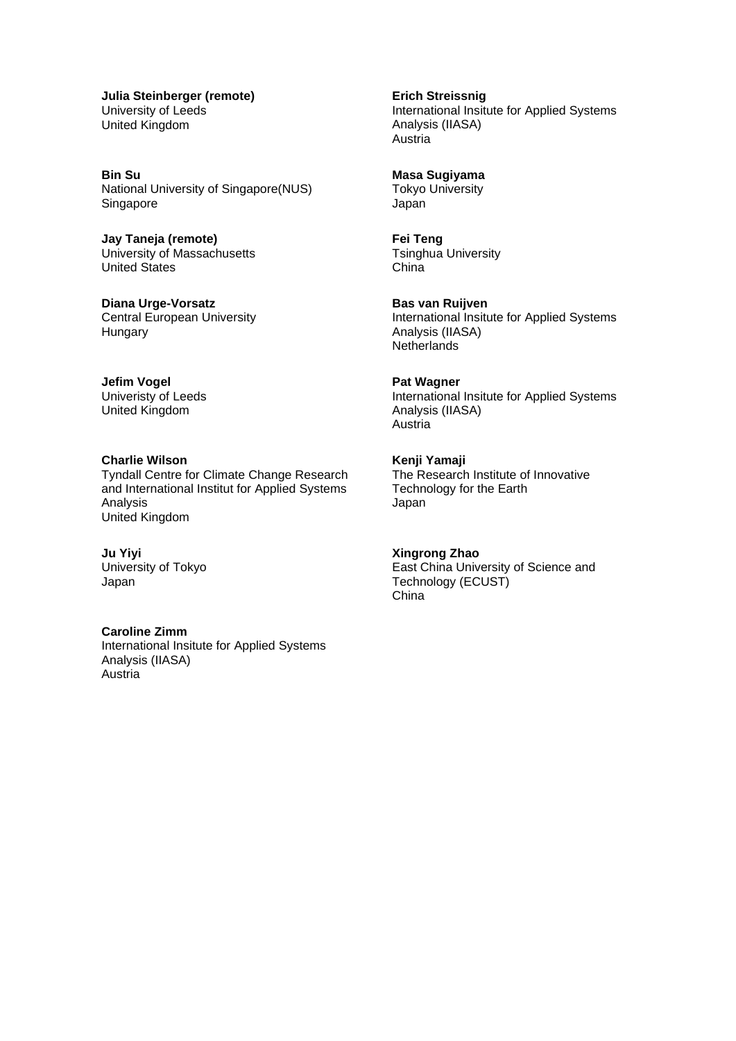**Julia Steinberger (remote)** University of Leeds United Kingdom

**Bin Su** National University of Singapore(NUS) Singapore

**Jay Taneja (remote)** University of Massachusetts United States

**Diana Urge-Vorsatz** Central European University **Hungary** 

**Jefim Vogel** Univeristy of Leeds United Kingdom

**Charlie Wilson** Tyndall Centre for Climate Change Research and International Institut for Applied Systems Analysis United Kingdom

**Ju Yiyi** University of Tokyo Japan

**Caroline Zimm** International Insitute for Applied Systems Analysis (IIASA) Austria

**Erich Streissnig** International Insitute for Applied Systems Analysis (IIASA) Austria

**Masa Sugiyama** Tokyo University Japan

**Fei Teng** Tsinghua University China

**Bas van Ruijven** International Insitute for Applied Systems Analysis (IIASA) **Netherlands** 

**Pat Wagner** International Insitute for Applied Systems Analysis (IIASA) Austria

**Kenji Yamaji** The Research Institute of Innovative Technology for the Earth Japan

**Xingrong Zhao** East China University of Science and Technology (ECUST) China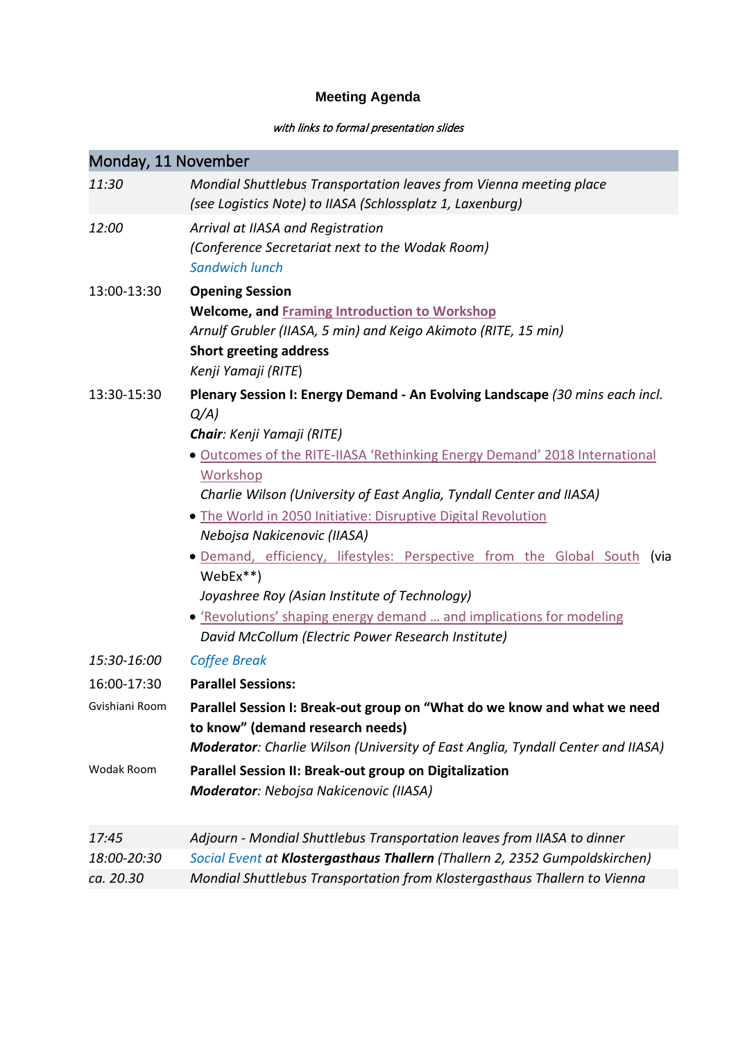# **Meeting Agenda**

## with links to formal presentation slides

| Monday, 11 November |                                                                                                                                                                                                                                                                                                                                                                                                                                                                                                                                                                                                                                                                        |
|---------------------|------------------------------------------------------------------------------------------------------------------------------------------------------------------------------------------------------------------------------------------------------------------------------------------------------------------------------------------------------------------------------------------------------------------------------------------------------------------------------------------------------------------------------------------------------------------------------------------------------------------------------------------------------------------------|
| 11:30               | Mondial Shuttlebus Transportation leaves from Vienna meeting place<br>(see Logistics Note) to IIASA (Schlossplatz 1, Laxenburg)                                                                                                                                                                                                                                                                                                                                                                                                                                                                                                                                        |
| 12:00               | Arrival at IIASA and Registration<br>(Conference Secretariat next to the Wodak Room)<br><b>Sandwich lunch</b>                                                                                                                                                                                                                                                                                                                                                                                                                                                                                                                                                          |
| 13:00-13:30         | <b>Opening Session</b><br><b>Welcome, and Framing Introduction to Workshop</b><br>Arnulf Grubler (IIASA, 5 min) and Keigo Akimoto (RITE, 15 min)<br><b>Short greeting address</b><br>Kenji Yamaji (RITE)                                                                                                                                                                                                                                                                                                                                                                                                                                                               |
| 13:30-15:30         | Plenary Session I: Energy Demand - An Evolving Landscape (30 mins each incl.<br>$Q/A$ )<br><b>Chair:</b> Kenji Yamaji (RITE)<br>. Outcomes of the RITE-IIASA 'Rethinking Energy Demand' 2018 International<br>Workshop<br>Charlie Wilson (University of East Anglia, Tyndall Center and IIASA)<br>. The World in 2050 Initiative: Disruptive Digital Revolution<br>Nebojsa Nakicenovic (IIASA)<br>• Demand, efficiency, lifestyles: Perspective from the Global South (via<br>$WebEx**$<br>Joyashree Roy (Asian Institute of Technology)<br>• 'Revolutions' shaping energy demand  and implications for modeling<br>David McCollum (Electric Power Research Institute) |
| 15:30-16:00         | <b>Coffee Break</b>                                                                                                                                                                                                                                                                                                                                                                                                                                                                                                                                                                                                                                                    |
| 16:00-17:30         | <b>Parallel Sessions:</b>                                                                                                                                                                                                                                                                                                                                                                                                                                                                                                                                                                                                                                              |
| Gvishiani Room      | Parallel Session I: Break-out group on "What do we know and what we need<br>to know" (demand research needs)<br>Moderator: Charlie Wilson (University of East Anglia, Tyndall Center and IIASA)                                                                                                                                                                                                                                                                                                                                                                                                                                                                        |
| Wodak Room          | Parallel Session II: Break-out group on Digitalization<br><b>Moderator: Nebojsa Nakicenovic (IIASA)</b>                                                                                                                                                                                                                                                                                                                                                                                                                                                                                                                                                                |
| 17:45               | Adjourn - Mondial Shuttlebus Transportation leaves from IIASA to dinner                                                                                                                                                                                                                                                                                                                                                                                                                                                                                                                                                                                                |
| 18:00-20:30         | Social Event at Klostergasthaus Thallern (Thallern 2, 2352 Gumpoldskirchen)                                                                                                                                                                                                                                                                                                                                                                                                                                                                                                                                                                                            |
| ca. 20.30           | Mondial Shuttlebus Transportation from Klostergasthaus Thallern to Vienna                                                                                                                                                                                                                                                                                                                                                                                                                                                                                                                                                                                              |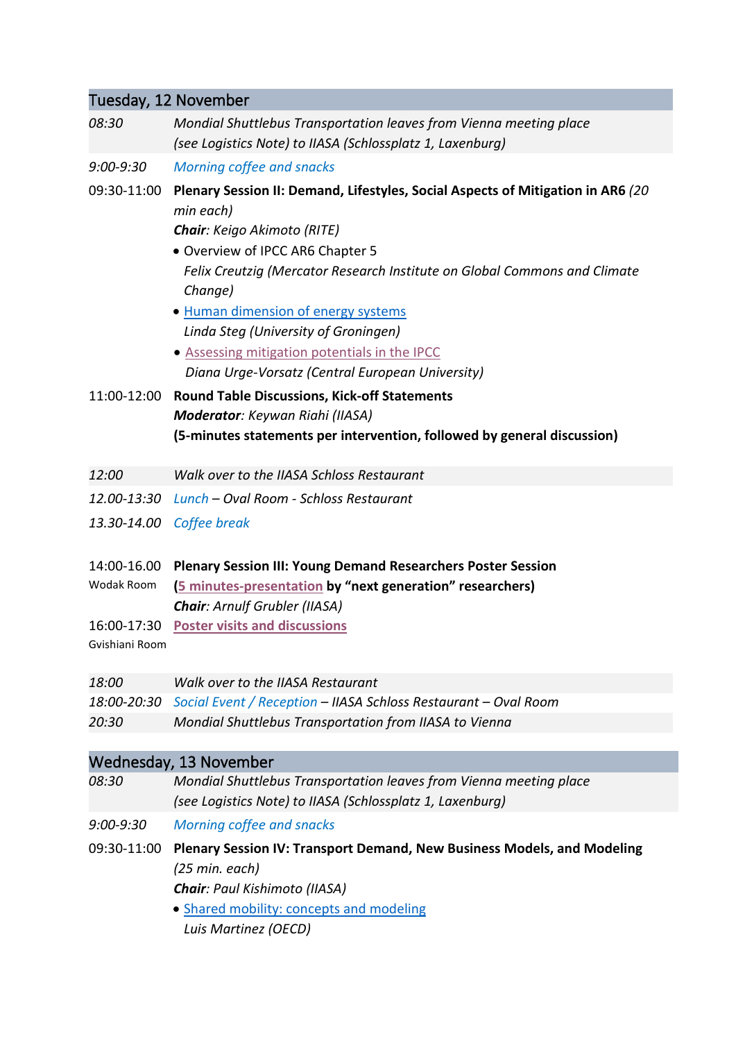# Tuesday, 12 November *08:30 Mondial Shuttlebus Transportation leaves from Vienna meeting place (see Logistics Note) to IIASA (Schlossplatz 1, Laxenburg) 9:00-9:30 Morning coffee and snacks* 09:30-11:00 **Plenary Session II: Demand, Lifestyles, Social Aspects of Mitigation in AR6** *(20 min each) Chair: Keigo Akimoto (RITE)* • Overview of IPCC AR6 Chapter 5 *Felix Creutzig (Mercator Research Institute on Global Commons and Climate Change)* • [Human dimension of energy systems](https://www.iiasa.ac.at/web/home/research/researchPrograms/TransitionstoNewTechnologies/Plenary-II_Steg.pdf) *Linda Steg (University of Groningen)* • [Assessing mitigation potentials in the IPCC](https://www.iiasa.ac.at/web/home/research/researchPrograms/TransitionstoNewTechnologies/Plenary-II_UrgeVorsatz.pdf) *Diana Urge-Vorsatz (Central European University)* 11:00-12:00 **Round Table Discussions, Kick-off Statements** *Moderator: Keywan Riahi (IIASA)* **(5-minutes statements per intervention, followed by general discussion)** *12:00 Walk over to the IIASA Schloss Restaurant 12.00-13:30 Lunch – Oval Room - Schloss Restaurant 13.30-14.00 Coffee break* 14:00-16.00 **Plenary Session III: Young Demand Researchers Poster Session** Wodak Room **[\(5 minutes-presentation](https://www.iiasa.ac.at/web/home/research/researchPrograms/TransitionstoNewTechnologies/AllPosterPresentations.pdf) by "next generation" researchers)**  *Chair: Arnulf Grubler (IIASA)* 16:00-17:30 **[Poster visits and discussions](#page-8-0)** Gvishiani Room *18:00 Walk over to the IIASA Restaurant 18:00-20:30 Social Event / Reception – IIASA Schloss Restaurant – Oval Room 20:30 Mondial Shuttlebus Transportation from IIASA to Vienna*

# Wednesday, 13 November

| 08:30 | Mondial Shuttlebus Transportation leaves from Vienna meeting place |
|-------|--------------------------------------------------------------------|
|       | (see Logistics Note) to IIASA (Schlossplatz 1, Laxenburg)          |

*9:00-9:30 Morning coffee and snacks*

- 09:30-11:00 **Plenary Session IV: Transport Demand, New Business Models, and Modeling** *(25 min. each) Chair: Paul Kishimoto (IIASA)*
	- [Shared mobility: concepts and modeling](https://www.iiasa.ac.at/web/home/research/researchPrograms/TransitionstoNewTechnologies/Plenary-IV_Martinez.pdf) *Luis Martinez (OECD)*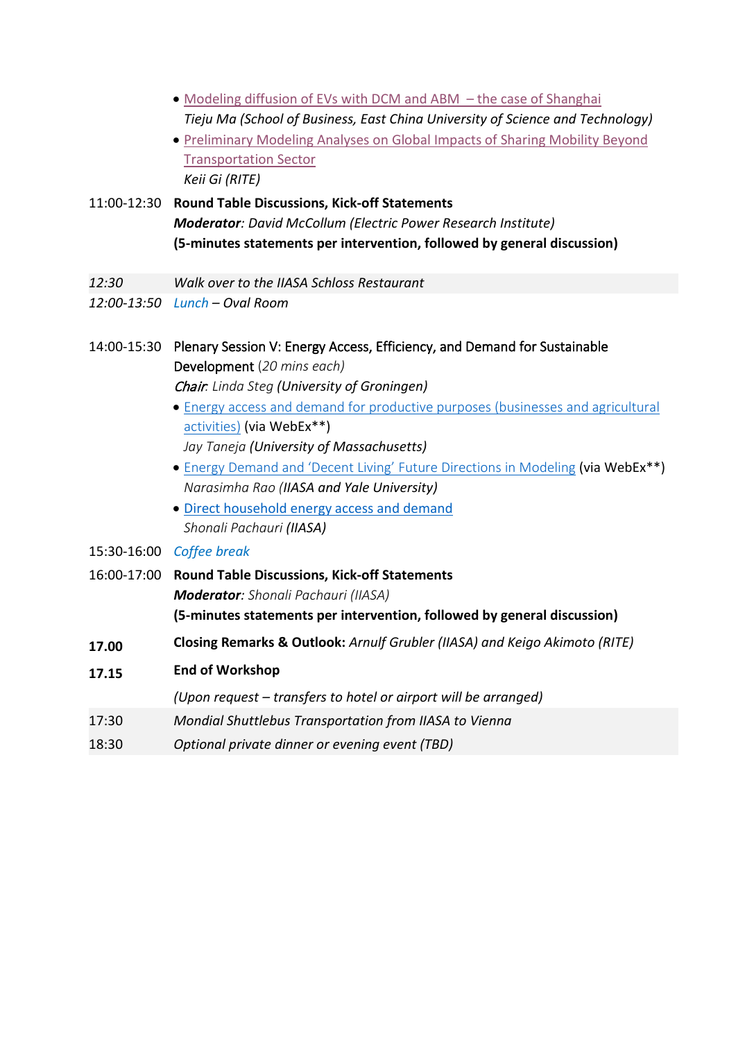- [Modeling diffusion of EVs with DCM and ABM –](https://www.iiasa.ac.at/web/home/research/researchPrograms/TransitionstoNewTechnologies/Plenary-IV_Ma.pdf) the case of Shanghai *Tieju Ma (School of Business, East China University of Science and Technology)*
- [Preliminary Modeling Analyses on Global Impacts of Sharing Mobility Beyond](https://www.iiasa.ac.at/web/home/research/researchPrograms/TransitionstoNewTechnologies/Plenary-IV_Gi.pdf)  [Transportation Sector](https://www.iiasa.ac.at/web/home/research/researchPrograms/TransitionstoNewTechnologies/Plenary-IV_Gi.pdf) *Keii Gi (RITE)*
- 11:00-12:30 **Round Table Discussions, Kick-off Statements** *Moderator: David McCollum (Electric Power Research Institute)* **(5-minutes statements per intervention, followed by general discussion)**
- *12:30 Walk over to the IIASA Schloss Restaurant*
- *12:00-13:50 Lunch – Oval Room*
- 14:00-15:30 Plenary Session V: Energy Access, Efficiency, and Demand for Sustainable Development (*20 mins each)* Chair*: Linda Steg (University of Groningen)*
	- Energy [access and demand for productive purposes \(businesses and agricultural](https://www.iiasa.ac.at/web/home/research/researchPrograms/TransitionstoNewTechnologies/Plenary-V_Taneja.pdf)  [activities\)](https://www.iiasa.ac.at/web/home/research/researchPrograms/TransitionstoNewTechnologies/Plenary-V_Taneja.pdf) (via WebEx\*\*) *Jay Taneja (University of Massachusetts)*
	- [Energy Demand and 'Decent Living' Future Directions in Modeling](https://www.iiasa.ac.at/web/home/research/researchPrograms/TransitionstoNewTechnologies/Plenary-V_Rao.pdf) (via WebEx\*\*) *Narasimha Rao (IIASA and Yale University)*
	- [Direct household energy access and demand](https://www.iiasa.ac.at/web/home/research/researchPrograms/TransitionstoNewTechnologies/Plenary-V_Pachauri.pdf) *Shonali Pachauri (IIASA)*
- 15:30-16:00 *Coffee break*
- 16:00-17:00 **Round Table Discussions, Kick-off Statements** *Moderator: Shonali Pachauri (IIASA)* **(5-minutes statements per intervention, followed by general discussion)**
- **17.00 Closing Remarks & Outlook:** *Arnulf Grubler (IIASA) and Keigo Akimoto (RITE)*
- **17.15 End of Workshop**

*(Upon request – transfers to hotel or airport will be arranged)*

- 17:30 *Mondial Shuttlebus Transportation from IIASA to Vienna*
- 18:30 *Optional private dinner or evening event (TBD)*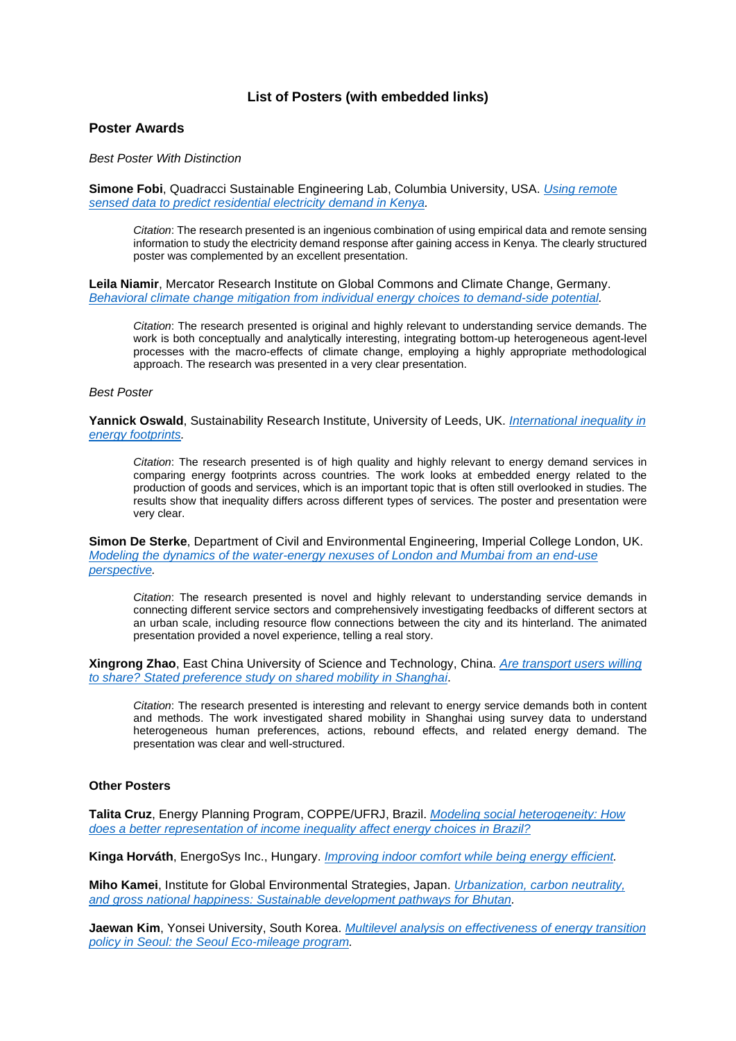## **List of Posters (with embedded links)**

### <span id="page-8-0"></span>**Poster Awards**

*Best Poster With Distinction*

**Simone Fobi**, Quadracci Sustainable Engineering Lab, Columbia University, USA. *[Using remote](https://www.iiasa.ac.at/web/home/research/researchPrograms/TransitionstoNewTechnologies/6_Poster_Fobi.pdf)  [sensed data to predict residential electricity demand in Kenya.](https://www.iiasa.ac.at/web/home/research/researchPrograms/TransitionstoNewTechnologies/6_Poster_Fobi.pdf)*

*Citation*: The research presented is an ingenious combination of using empirical data and remote sensing information to study the electricity demand response after gaining access in Kenya. The clearly structured poster was complemented by an excellent presentation.

**Leila Niamir**, Mercator Research Institute on Global Commons and Climate Change, Germany. *Behavioral [climate change mitigation from individual energy choices to demand-side potential.](https://www.iiasa.ac.at/web/home/research/researchPrograms/TransitionstoNewTechnologies/2_Poster_Niamir.pdf)*

*Citation*: The research presented is original and highly relevant to understanding service demands. The work is both conceptually and analytically interesting, integrating bottom-up heterogeneous agent-level processes with the macro-effects of climate change, employing a highly appropriate methodological approach. The research was presented in a very clear presentation.

#### *Best Poster*

**Yannick Oswald**, Sustainability Research Institute, University of Leeds, UK. *[International inequality in](https://www.iiasa.ac.at/web/home/research/researchPrograms/TransitionstoNewTechnologies/4_Poster_Oswald.pdf)  [energy footprints.](https://www.iiasa.ac.at/web/home/research/researchPrograms/TransitionstoNewTechnologies/4_Poster_Oswald.pdf)*

*Citation*: The research presented is of high quality and highly relevant to energy demand services in comparing energy footprints across countries. The work looks at embedded energy related to the production of goods and services, which is an important topic that is often still overlooked in studies. The results show that inequality differs across different types of services. The poster and presentation were very clear.

**Simon De Sterke**, Department of Civil and Environmental Engineering, Imperial College London, UK. *Modeling [the dynamics of the water-energy nexuses of London and Mumbai from an end-use](https://www.iiasa.ac.at/web/home/research/researchPrograms/TransitionstoNewTechnologies/9_Poster_DeStercke.pdf)  [perspective.](https://www.iiasa.ac.at/web/home/research/researchPrograms/TransitionstoNewTechnologies/9_Poster_DeStercke.pdf)*

*Citation*: The research presented is novel and highly relevant to understanding service demands in connecting different service sectors and comprehensively investigating feedbacks of different sectors at an urban scale, including resource flow connections between the city and its hinterland. The animated presentation provided a novel experience, telling a real story.

**Xingrong Zhao**, East China University of Science and Technology, China. *[Are transport users willing](https://www.iiasa.ac.at/web/home/research/researchPrograms/TransitionstoNewTechnologies/11_Poster_Zhao.pdf)  [to share? Stated preference study on shared mobility in Shanghai](https://www.iiasa.ac.at/web/home/research/researchPrograms/TransitionstoNewTechnologies/11_Poster_Zhao.pdf)*.

*Citation*: The research presented is interesting and relevant to energy service demands both in content and methods. The work investigated shared mobility in Shanghai using survey data to understand heterogeneous human preferences, actions, rebound effects, and related energy demand. The presentation was clear and well-structured.

### **Other Posters**

**Talita Cruz**, Energy Planning Program, COPPE/UFRJ, Brazil. *Modeling [social heterogeneity: How](https://www.iiasa.ac.at/web/home/research/researchPrograms/TransitionstoNewTechnologies/5_Poster_BorgesCruz.pdf)  [does a better representation of income inequality affect energy choices in Brazil?](https://www.iiasa.ac.at/web/home/research/researchPrograms/TransitionstoNewTechnologies/5_Poster_BorgesCruz.pdf)*

**Kinga Horváth**, EnergoSys Inc., Hungary. *[Improving indoor comfort while being energy efficient.](https://www.iiasa.ac.at/web/home/research/researchPrograms/TransitionstoNewTechnologies/14_Poster_Horvath.pdf)*

**Miho Kamei**, Institute for Global Environmental Strategies, Japan. *[Urbanization, carbon neutrality,](https://www.iiasa.ac.at/web/home/research/researchPrograms/TransitionstoNewTechnologies/8_Poster_Kamei.pdf)  [and gross national happiness: Sustainable development pathways for Bhutan.](https://www.iiasa.ac.at/web/home/research/researchPrograms/TransitionstoNewTechnologies/8_Poster_Kamei.pdf)*

**Jaewan Kim**, Yonsei University, South Korea. *[Multilevel analysis on effectiveness of energy transition](https://www.iiasa.ac.at/web/home/research/researchPrograms/TransitionstoNewTechnologies/10_Poster_Kim.pdf)  [policy in Seoul: the Seoul Eco-mileage program.](https://www.iiasa.ac.at/web/home/research/researchPrograms/TransitionstoNewTechnologies/10_Poster_Kim.pdf)*